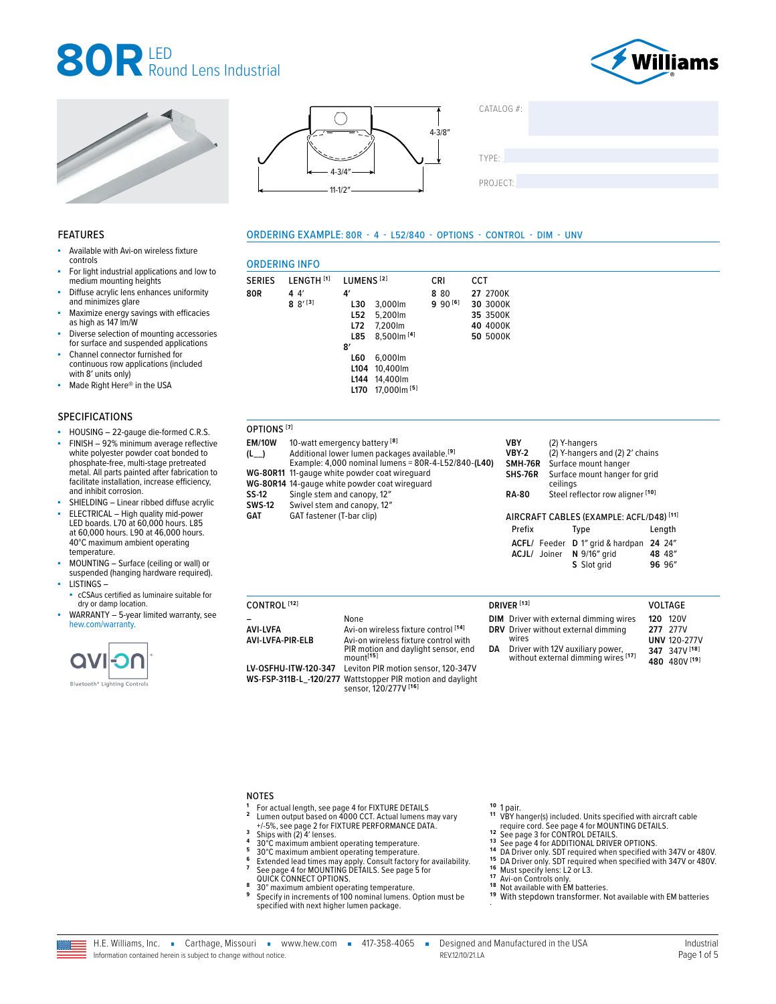







SERIES LENGTH **[1]** LUMENS **[2]** CRI CCT

**L30** 3,000lm **L52** 5,200 lm **L72** 7,200lm **L85** 8,500lm **[4]**

**4′**

ORDERING INFO

**8** 8′ **[3]**

**80R 4** 4′

**SS-12** SWS-12<br>GAT

| CATALOG #: |  |  |
|------------|--|--|
|            |  |  |
|            |  |  |
| TYPE:      |  |  |
|            |  |  |
| PROJECT:   |  |  |
|            |  |  |

#### FEATURES

- Available with Avi-on wireless fixture controls
- For light industrial applications and low to medium mounting heights
- Diffuse acrylic lens enhances uniformity and minimizes glare
- Maximize energy savings with efficacies as high as 147 lm/W
- Diverse selection of mounting accessories for surface and suspended applications
- Channel connector furnished for continuous row applications (included with 8' units only)
- Made Right Here® in the USA

#### SPECIFICATIONS

- HOUSING 22-gauge die-formed C.R.S.
- FINISH 92% minimum average reflective white polyester powder coat bonded to phosphate-free, multi-stage pretreated metal. All parts painted after fabrication to facilitate installation, increase efficiency, and inhibit corrosion.
- SHIELDING Linear ribbed diffuse acrylic
- ELECTRICAL High quality mid-power LED boards. L70 at 60,000 hours. L85 at 60,000 hours. L90 at 46,000 hours. 40°C maximum ambient operating temperature.
- MOUNTING Surface (ceiling or wall) or suspended (hanging hardware required). ■ LISTINGS –
- cCSAus certified as luminaire suitable for dry or damp location.
- WARRANTY 5-year limited warranty, see [hew.com/warranty.](https://www.hew.com/resources/warranty-and-terms)



|                        | 8′<br><b>L60</b><br>L104<br>L <sub>144</sub><br>L170                                                           | 6,000lm<br>10,400lm<br>14.400lm<br>17.000 lm <sup>[5]</sup> |   |  |
|------------------------|----------------------------------------------------------------------------------------------------------------|-------------------------------------------------------------|---|--|
| OPTIONS <sup>[7]</sup> |                                                                                                                |                                                             |   |  |
| <b>EM/10W</b>          | 10-watt emergency battery <sup>[8]</sup>                                                                       |                                                             | ١ |  |
| $(L_{-})$              |                                                                                                                | Additional lower lumen packages available. <sup>[9]</sup>   | ١ |  |
|                        | Example: 4,000 nominal lumens = 80R-4-L52/840-(L40)<br>S<br>WG-80R11 11-gauge white powder coat wirequard<br>S |                                                             |   |  |
|                        | WG-80P14 14-gauge white nowder coat wirequard                                                                  |                                                             |   |  |

|        | WG-80R11 11-gauge white powder coat wireguard | <b>SHS-76</b> |
|--------|-----------------------------------------------|---------------|
|        | WG-80R14 14-gauge white powder coat wirequard |               |
| SS-12  | Single stem and canopy, 12"                   | <b>RA-80</b>  |
| SWS-12 | Swivel stem and canopy, 12"                   |               |
| GAT    | GAT fastener (T-bar clip)                     | <b>AIRCR</b>  |
|        |                                               |               |

ORDERING EXAMPLE: 80R - 4 - L52/840 - OPTIONS - CONTROL - DIM - UNV

**8** 80 **9** 90 **[6]** **27** 2700K **30** 3000K **35** 3500K **40** 4000K **50** 5000K

| <b>VBY</b>     | (2) Y-hangers                             |
|----------------|-------------------------------------------|
| <b>VBY-2</b>   | (2) Y-hangers and (2) 2' chains           |
| <b>SMH-76R</b> | Surface mount hanger                      |
| <b>SHS-76R</b> | Surface mount hanger for grid<br>ceilings |
| <b>RA-80</b>   | Steel reflector row aligner [10]          |

#### AFT CABLES (EXAMPLE: ACFL/D48)<sup>[11]</sup>

| Prefix |              | Type                                                    | Length |
|--------|--------------|---------------------------------------------------------|--------|
|        | ACJL/ Joiner | ACFL/ Feeder D 1" grid & hardpan 24 24"<br>N 9/16" arid | 48 48" |
|        |              | S Slot grid                                             | 96 96" |

| CONTROL <sup>[12]</sup>      |                                                                                                                                                      | DRIVER <sup>[13]</sup>                                                                                                                                                      |     | <b>VOLTAGE</b>                                                            |
|------------------------------|------------------------------------------------------------------------------------------------------------------------------------------------------|-----------------------------------------------------------------------------------------------------------------------------------------------------------------------------|-----|---------------------------------------------------------------------------|
| AVI-LVFA<br>AVI-LVFA-PIR-ELB | None<br>Avi-on wireless fixture control [14]<br>Avi-on wireless fixture control with<br>PIR motion and daylight sensor, end<br>mount <sup>[15]</sup> | <b>DIM</b> Driver with external dimming wires<br>DRV Driver without external dimming<br>wires<br>DA Driver with 12V auxiliary power,<br>without external dimming wires [17] | 120 | 120V<br>277 277V<br><b>UNV 120-277V</b><br>347 347V [18]<br>480 480V [19] |
| LV-OSFHU-ITW-120-347         | Leviton PIR motion sensor, 120-347V<br>WS-FSP-311B-L_-120/277 Wattstopper PIR motion and daylight<br>sensor, 120/277V [16]                           |                                                                                                                                                                             |     |                                                                           |

#### NOTES

- 
- **1** For actual length, [see page 4 for FIXTURE DETAILS](#page-3-0)<br> **2** Lumen output based on 4000 CCT. Actual lumens may vary<br>
<sup>4</sup> + 5%, see page 2 for FIXTURE PERFORMANCE DATA.<br> **3** Ships with (2) 4' lenses.<br> **4** 30°C maximum ambient
- 
- 
- 
- 
- <sup>3</sup> Ships with (2) 4' lenses.<br>
<sup>4</sup> 30°C maximum ambient operating temperature.<br>
<sup>5</sup> 50°C maximum ambient operating temperature.<br>
<sup>6</sup> Extended lead times may apply. Consult factory for availability.<br>
<sup>7</sup> See page 4 for MOUN
- [QUICK CONNECT OPTIONS.](#page-4-0) **<sup>8</sup>** 30° maximum ambient operating temperature. **<sup>9</sup>** Specify in increments of 100 nominal lumens. Option must be specified with next higher lumen package.

- **10 1 pair.**<br> **11 VBY hanger(s) included. Units specified with aircraft cable<br>
<b>12 See page 3 for CONTROL DETAILS.**<br> **13 See page 3 for CONTROL DETAILS.**<br> **13 See page 4 for ADDITIONAL DRIVER OPTIONS.**
- 
- 
- 14 DA Driver only. SDT required when specified with 347V or 480V.<br>
15 DA Driver only. SDT required when specified with 347V or 480V.<br>
16 Must specify lens: L2 or L3.<br>
17 Avi-on Controls only.<br>
17 Avi-on Controls only.<br>
18
- 
- 
- 
- 
- 



H.E. Williams, Inc. • Carthage, Missouri • www.hew.com • 417-358-4065 • Designed and Manufactured in the USA Information contained herein is subject to change without notice. REV.12/10/21.LA Page 1 of 5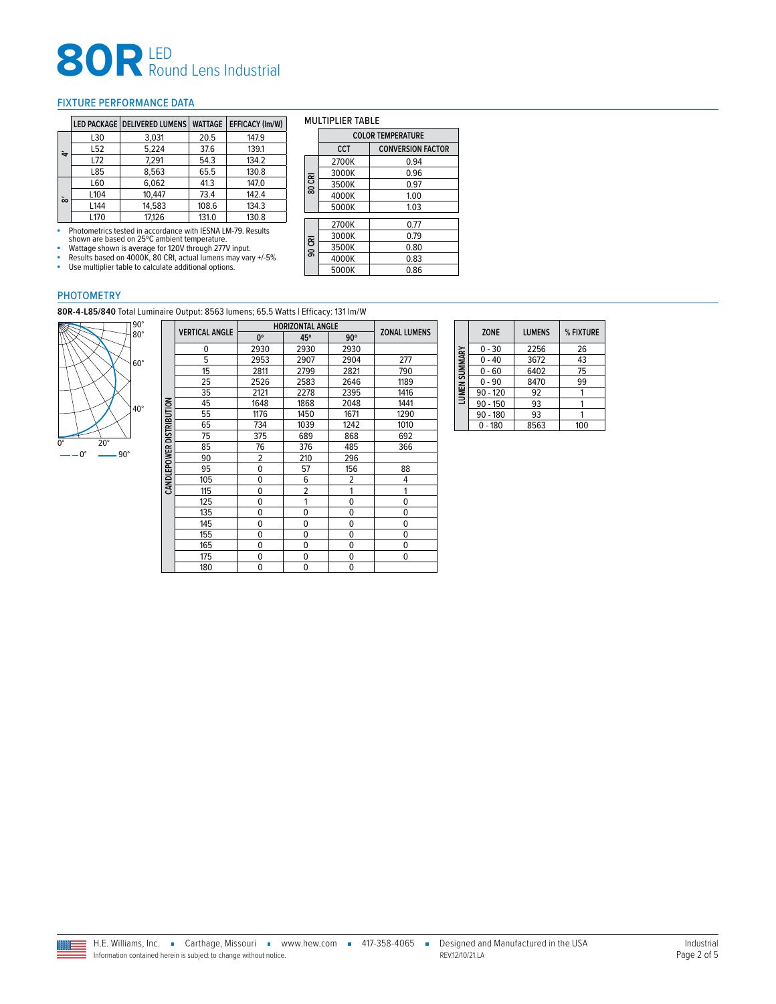# **80R** LED<br>
Round Lens Industrial

#### <span id="page-1-0"></span>FIXTURE PERFORMANCE DATA

|                  |                 | LED PACKAGE   DELIVERED LUMENS | <b>WATTAGE</b> | <b>EFFICACY (Im/W)</b> |
|------------------|-----------------|--------------------------------|----------------|------------------------|
|                  | L30             | 3,031                          | 20.5           | 147.9                  |
| ᡱ                | L <sub>52</sub> | 5.224                          | 37.6           | 139.1                  |
|                  | L72             | 7.291                          | 54.3           | 134.2                  |
|                  | L85             | 8.563                          | 65.5           | 130.8                  |
|                  | L60             | 6,062                          | 41.3           | 147.0                  |
| $\tilde{\infty}$ | L104            | 10.447                         | 73.4           | 142.4                  |
|                  | L144            | 14.583                         | 108.6          | 134.3                  |
|                  | L170            | 17.126                         | 131.0          | 130.8                  |

- Photometrics tested in accordance with IESNA LM-79. Results<br>- Shown are based on 25°C ambient temperature.<br>- Wattage shown is average for 120V through 277V input.<br>- Results based on 4000K, 80 CRI, actual lumens may vary

■ Use multiplier table to calculate additional options.

#### MULTIPLIER TABLE

|        | <b>COLOR TEMPERATURE</b> |                          |  |  |
|--------|--------------------------|--------------------------|--|--|
|        | CCT                      | <b>CONVERSION FACTOR</b> |  |  |
|        | 2700K                    | 0.94                     |  |  |
|        | 3000K                    | 0.96                     |  |  |
| 80 CRI | 3500K                    | 0.97                     |  |  |
|        | 4000K                    | 1.00                     |  |  |
|        | 5000K                    | 1.03                     |  |  |
|        | 2700K                    | 0.77                     |  |  |
|        | 3000K                    | 0.79                     |  |  |
| 90 CRI | 3500K                    | 0.80                     |  |  |
|        | 4000K                    | 0.83                     |  |  |
|        | 5000K                    | 0.86                     |  |  |

#### PHOTOMETRY

**80R-4-L85/840** Total Luminaire Output: 8563 lumens; 65.5 Watts | Efficacy: 131 lm/W



|              |                       | <b>HORIZONTAL ANGLE</b> |                |                |                     |
|--------------|-----------------------|-------------------------|----------------|----------------|---------------------|
|              | <b>VERTICAL ANGLE</b> | 0°                      | 45°            | $90^\circ$     | <b>ZONAL LUMENS</b> |
|              | 0                     | 2930                    | 2930           | 2930           |                     |
|              | 5                     | 2953                    | 2907           | 2904           | 277                 |
|              | 15                    | 2811                    | 2799           | 2821           | 790                 |
|              | 25                    | 2526                    | 2583           | 2646           | 1189                |
|              | 35                    | 2121                    | 2278           | 2395           | 1416                |
|              | 45                    | 1648                    | 1868           | 2048           | 1441                |
|              | 55                    | 1176                    | 1450           | 1671           | 1290                |
| DISTRIBUTION | 65                    | 734                     | 1039           | 1242           | 1010                |
|              | 75                    | 375                     | 689            | 868            | 692                 |
|              | 85                    | 76                      | 376            | 485            | 366                 |
|              | 90                    | 2                       | 210            | 296            |                     |
| CANDLEPOWER  | 95                    | $\mathbf 0$             | 57             | 156            | 88                  |
|              | 105                   | 0                       | 6              | $\overline{2}$ | 4                   |
|              | 115                   | 0                       | $\overline{2}$ | 1              | 1                   |
|              | 125                   | 0                       | 1              | $\mathbf 0$    | 0                   |
|              | 135                   | 0                       | 0              | 0              | $\Omega$            |
|              | 145                   | 0                       | 0              | 0              | 0                   |
|              | 155                   | 0                       | 0              | 0              | 0                   |
|              | 165                   | 0                       | 0              | 0              | 0                   |
|              | 175                   | 0                       | 0              | 0              | 0                   |
|              | 180                   | 0                       | 0              | 0              |                     |

|               | <b>ZONE</b> | <b>LUMENS</b> | % FIXTURE |
|---------------|-------------|---------------|-----------|
|               | $0 - 30$    | 2256          | 26        |
|               | $0 - 40$    | 3672          | 43        |
|               | $0 - 60$    | 6402          | 75        |
|               | $0 - 90$    | 8470          | 99        |
| LUMEN SUMMARY | $90 - 120$  | 92            |           |
|               | $90 - 150$  | 93            |           |
|               | $90 - 180$  | 93            |           |
|               | $0 - 180$   | 8563          | 100       |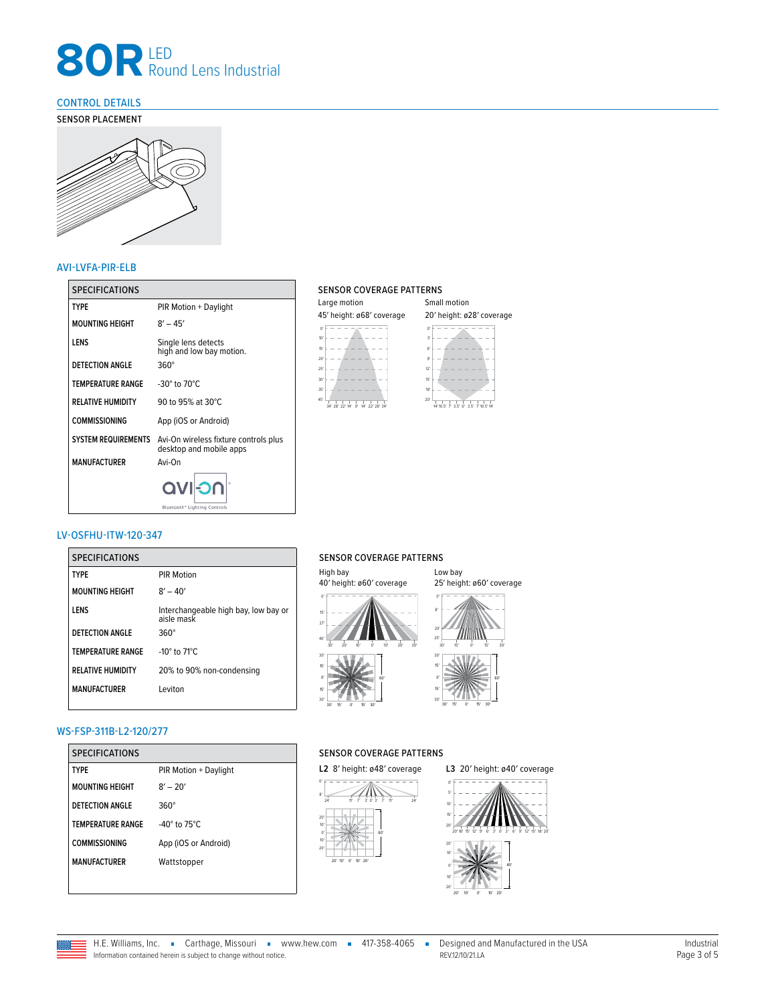## **80R** LED<br>
Round Lens Industrial

#### <span id="page-2-0"></span>CONTROL DETAILS

SENSOR PLACEMENT



#### AVI-LVFA-PIR-ELB

| <b>SPECIFICATIONS</b>      |                                                                  | <b>SENSOR CO</b>       |
|----------------------------|------------------------------------------------------------------|------------------------|
| <b>TYPE</b>                | PIR Motion + Daylight                                            | Large motion           |
| <b>MOUNTING HEIGHT</b>     | $8' - 45'$                                                       | 45' height: ø6         |
| LENS                       | Single lens detects<br>high and low bay motion.                  | 10 <sup>7</sup><br>15' |
| <b>DETECTION ANGLE</b>     | $360^\circ$                                                      | 20'<br>25'             |
| <b>TEMPERATURE RANGE</b>   | -30 $^{\circ}$ to 70 $^{\circ}$ C                                | 30'<br>35'             |
| <b>RELATIVE HUMIDITY</b>   | 90 to 95% at 30°C                                                | 45'<br>34' 28' 22'     |
| <b>COMMISSIONING</b>       | App (iOS or Android)                                             |                        |
| <b>SYSTEM REQUIREMENTS</b> | Avi-On wireless fixture controls plus<br>desktop and mobile apps |                        |
| <b>MANUFACTURER</b>        | Avi-On                                                           |                        |
|                            | <b>OCIIVO</b><br>Bluetooth <sup>®</sup> Lighting Controls        |                        |

#### SENSOR COVERAGE PATTERNS

| Large motion                                                    | Small motion<br>20' height: ø28' coverage                                    |  |  |
|-----------------------------------------------------------------|------------------------------------------------------------------------------|--|--|
| 45' height: ø68' coverage                                       |                                                                              |  |  |
| 10'<br>15'<br>20 <sup>′</sup>                                   | n<br>3'<br>61<br>Q'                                                          |  |  |
| 25'<br>30'                                                      | 12 <sup>r</sup><br>15'                                                       |  |  |
| 35'<br>451<br>34' 28' 22' 14'<br>$\alpha$<br>14'<br>22' 28' 34' | 18 <sup>r</sup><br>20'<br>$35'$ $0'$<br>2F<br>$\mathsf{E}'$<br>10<br>10.5'14 |  |  |

### LV-OSFHU-ITW-120-347

| <b>SPECIFICATIONS</b>    |                                                    | <b>SENSOI</b>                        |
|--------------------------|----------------------------------------------------|--------------------------------------|
| <b>TYPE</b>              | <b>PIR Motion</b>                                  | High bay<br>40' heigh                |
| <b>MOUNTING HEIGHT</b>   | $8' - 40'$                                         |                                      |
| LENS                     | Interchangeable high bay, low bay or<br>aisle mask | 15'                                  |
| <b>DETECTION ANGLE</b>   | $360^\circ$                                        | 27<br>40'                            |
| <b>TEMPERATURE RANGE</b> | -10 $\degree$ to 71 $\degree$ C                    | 20'<br>30<br>30'                     |
| <b>RELATIVE HUMIDITY</b> | 20% to 90% non-condensing                          | 15'<br>$\Omega'$                     |
| <b>MANUFACTURER</b>      | Leviton                                            | 15'<br>20'<br>15'<br>30 <sup>o</sup> |



#### Low bay 25′ height: ø60′ coverage



#### WS-FSP-311B-L2-120/277

| <b>SPECIFICATIONS</b>    |                                   |
|--------------------------|-----------------------------------|
| TYPF                     | PIR Motion + Daylight             |
| <b>MOUNTING HEIGHT</b>   | $8' - 20'$                        |
| <b>DETECTION ANGLE</b>   | $360^\circ$                       |
| <b>TEMPERATURE RANGE</b> | -40 $^{\circ}$ to 75 $^{\circ}$ C |
| <b>COMMISSIONING</b>     | App (iOS or Android)              |
| <b>MANUFACTURER</b>      | Wattstopper                       |
|                          |                                   |

### SENSOR COVERAGE PATTERNS

L2 8' height: ø48' coverage



#### **L3** 20′ height: ø40′ coverage



### SENSOR COVERAGE PATTERNS

H.E. Williams, Inc. Carthage, Missouri = www.hew.com = 417-358-4065 = Designed and Manufactured in the USA<br>Information contained herein is subject to change without notice. Information contained herein is subject to change without notice.

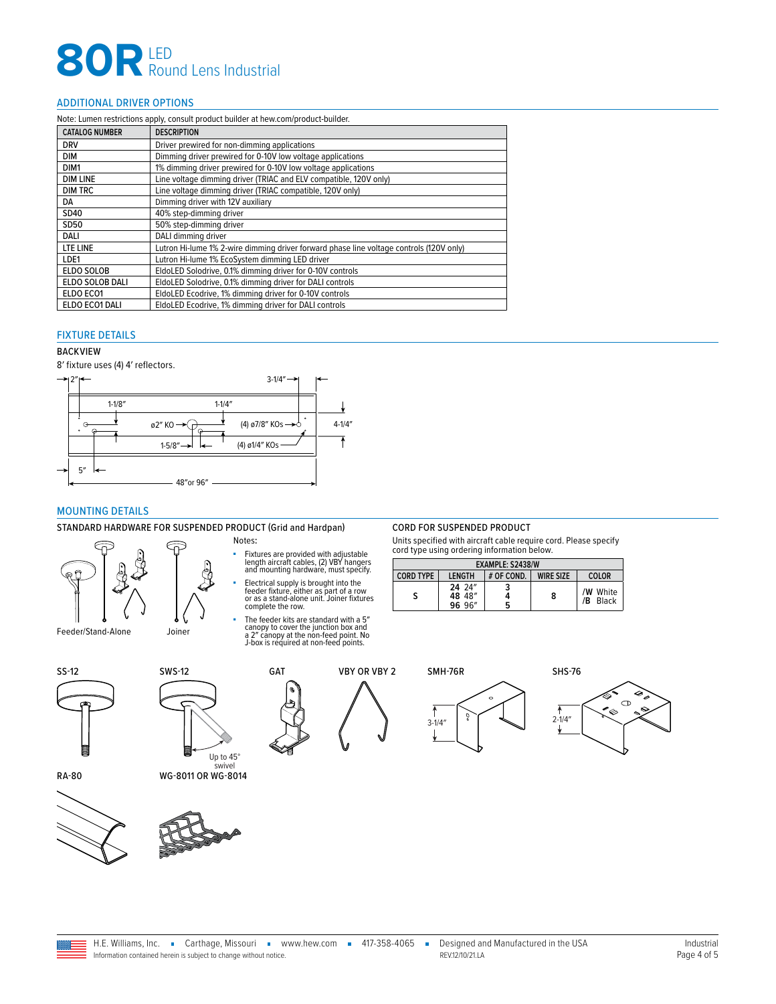# **80R** LED<br>
Round Lens Industrial

#### <span id="page-3-2"></span>ADDITIONAL DRIVER OPTIONS

| Note: Lumen restrictions apply, consult product builder at hew.com/product-builder. |                                                                                         |  |
|-------------------------------------------------------------------------------------|-----------------------------------------------------------------------------------------|--|
| <b>CATALOG NUMBER</b>                                                               | <b>DESCRIPTION</b>                                                                      |  |
| <b>DRV</b>                                                                          | Driver prewired for non-dimming applications                                            |  |
| <b>DIM</b>                                                                          | Dimming driver prewired for 0-10V low voltage applications                              |  |
| DIM1                                                                                | 1% dimming driver prewired for 0-10V low voltage applications                           |  |
| <b>DIM LINE</b>                                                                     | Line voltage dimming driver (TRIAC and ELV compatible, 120V only)                       |  |
| <b>DIM TRC</b>                                                                      | Line voltage dimming driver (TRIAC compatible, 120V only)                               |  |
| DA                                                                                  | Dimming driver with 12V auxiliary                                                       |  |
| SD40                                                                                | 40% step-dimming driver                                                                 |  |
| SD50                                                                                | 50% step-dimming driver                                                                 |  |
| DALI                                                                                | DALI dimming driver                                                                     |  |
| LTE LINE                                                                            | Lutron Hi-lume 1% 2-wire dimming driver forward phase line voltage controls (120V only) |  |
| LDE1                                                                                | Lutron Hi-lume 1% EcoSystem dimming LED driver                                          |  |
| <b>ELDO SOLOB</b>                                                                   | EldoLED Solodrive, 0.1% dimming driver for 0-10V controls                               |  |
| ELDO SOLOB DALI                                                                     | EldoLED Solodrive, 0.1% dimming driver for DALI controls                                |  |
| ELDO ECO1                                                                           | EldoLED Ecodrive, 1% dimming driver for 0-10V controls                                  |  |
| ELDO ECO1 DALI                                                                      | EldoLED Ecodrive, 1% dimming driver for DALI controls                                   |  |

#### <span id="page-3-0"></span>FIXTURE DETAILS

#### BACKVIEW

8′ fixture uses (4) 4′ reflectors.



#### <span id="page-3-1"></span>MOUNTING DETAILS

#### STANDARD HARDWARE FOR SUSPENDED PRODUCT (Grid and Hardpan) CORD FOR SUSPENDED PRODUCT



- Notes**:**
- Fixtures are provided with adjustable length aircraft cables, (2) VBY hangers and mounting hardware, must specify.
- Electrical supply is brought into the feeder fixture, either as part of a row or as a stand-alone unit. Joiner fixtures complete the row.
- The feeder kits are standard with a 5″ canopy to cover the junction box and a 2″ canopy at the non-feed point. No J-box is required at non-feed points.

Units specified with aircraft cable require cord. Please specify cord type using ordering information below.

| EXAMPLE: S2438/W |                            |            |                  |                         |
|------------------|----------------------------|------------|------------------|-------------------------|
| <b>CORD TYPE</b> | <b>I FNGTH</b>             | # OF COND. | <b>WIRF SIZE</b> | COLOR                   |
|                  | 24 24"<br>48 48"<br>96 96" | 5          | 8                | /W White<br>/B<br>Black |





swivel RA-80 WG-8011 OR WG-8014